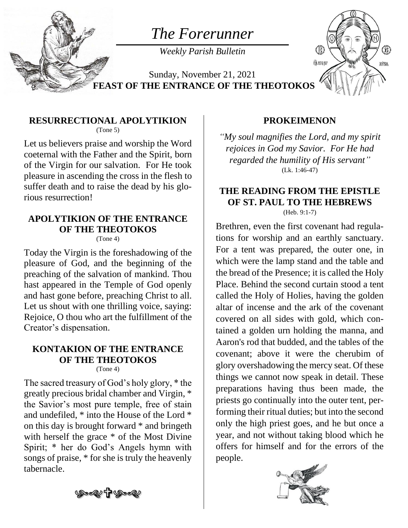

# *The Forerunner*

*Weekly Parish Bulletin*

Sunday, November 21, 2021 **FEAST OF THE ENTRANCE OF THE THEOTOKOS**



#### **RESURRECTIONAL APOLYTIKION** (Tone 5)

Let us believers praise and worship the Word coeternal with the Father and the Spirit, born of the Virgin for our salvation. For He took pleasure in ascending the cross in the flesh to suffer death and to raise the dead by his glorious resurrection!

### **APOLYTIKION OF THE ENTRANCE OF THE THEOTOKOS**

(Tone 4)

Today the Virgin is the foreshadowing of the pleasure of God, and the beginning of the preaching of the salvation of mankind. Thou hast appeared in the Temple of God openly and hast gone before, preaching Christ to all. Let us shout with one thrilling voice, saying: Rejoice, O thou who art the fulfillment of the Creator's dispensation.

#### **KONTAKION OF THE ENTRANCE OF THE THEOTOKOS** (Tone 4)

The sacred treasury of God's holy glory, \* the greatly precious bridal chamber and Virgin, \* the Savior's most pure temple, free of stain and undefiled, \* into the House of the Lord \* on this day is brought forward \* and bringeth with herself the grace \* of the Most Divine Spirit; \* her do God's Angels hymn with songs of praise, \* for she is truly the heavenly tabernacle.

#### **PROKEIMENON**

*"My soul magnifies the Lord, and my spirit rejoices in God my Savior. For He had regarded the humility of His servant"* (Lk. 1:46-47)

## **THE READING FROM THE EPISTLE OF ST. PAUL TO THE HEBREWS**

(Heb. 9:1-7)

Brethren, even the first covenant had regulations for worship and an earthly sanctuary. For a tent was prepared, the outer one, in which were the lamp stand and the table and the bread of the Presence; it is called the Holy Place. Behind the second curtain stood a tent called the Holy of Holies, having the golden altar of incense and the ark of the covenant covered on all sides with gold, which contained a golden urn holding the manna, and Aaron's rod that budded, and the tables of the covenant; above it were the cherubim of glory overshadowing the mercy seat. Of these things we cannot now speak in detail. These preparations having thus been made, the priests go continually into the outer tent, performing their ritual duties; but into the second only the high priest goes, and he but once a year, and not without taking blood which he offers for himself and for the errors of the people.



Ŷ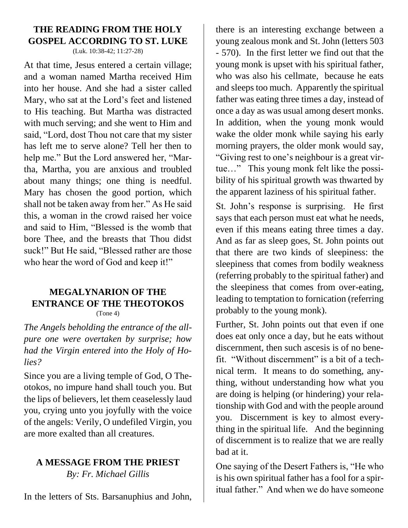### **THE READING FROM THE HOLY GOSPEL ACCORDING TO ST. LUKE**

(Luk. 10:38-42; 11:27-28)

At that time, Jesus entered a certain village; and a woman named Martha received Him into her house. And she had a sister called Mary, who sat at the Lord's feet and listened to His teaching. But Martha was distracted with much serving; and she went to Him and said, "Lord, dost Thou not care that my sister has left me to serve alone? Tell her then to help me." But the Lord answered her, "Martha, Martha, you are anxious and troubled about many things; one thing is needful. Mary has chosen the good portion, which shall not be taken away from her." As He said this, a woman in the crowd raised her voice and said to Him, "Blessed is the womb that bore Thee, and the breasts that Thou didst suck!" But He said, "Blessed rather are those who hear the word of God and keep it!"

#### **MEGALYNARION OF THE ENTRANCE OF THE THEOTOKOS** (Tone 4)

*The Angels beholding the entrance of the allpure one were overtaken by surprise; how had the Virgin entered into the Holy of Holies?*

Since you are a living temple of God, O Theotokos, no impure hand shall touch you. But the lips of believers, let them ceaselessly laud you, crying unto you joyfully with the voice of the angels: Verily, O undefiled Virgin, you are more exalted than all creatures.

### **A MESSAGE FROM THE PRIEST**

*By: Fr. Michael Gillis*

In the letters of Sts. Barsanuphius and John,

there is an interesting exchange between a young zealous monk and St. John (letters 503 - 570). In the first letter we find out that the young monk is upset with his spiritual father, who was also his cellmate, because he eats and sleeps too much. Apparently the spiritual father was eating three times a day, instead of once a day as was usual among desert monks. In addition, when the young monk would wake the older monk while saying his early morning prayers, the older monk would say, "Giving rest to one's neighbour is a great virtue…" This young monk felt like the possibility of his spiritual growth was thwarted by the apparent laziness of his spiritual father.

St. John's response is surprising. He first says that each person must eat what he needs, even if this means eating three times a day. And as far as sleep goes, St. John points out that there are two kinds of sleepiness: the sleepiness that comes from bodily weakness (referring probably to the spiritual father) and the sleepiness that comes from over-eating, leading to temptation to fornication (referring probably to the young monk).

Further, St. John points out that even if one does eat only once a day, but he eats without discernment, then such ascesis is of no benefit. "Without discernment" is a bit of a technical term. It means to do something, anything, without understanding how what you are doing is helping (or hindering) your relationship with God and with the people around you. Discernment is key to almost everything in the spiritual life. And the beginning of discernment is to realize that we are really bad at it.

One saying of the Desert Fathers is, "He who is his own spiritual father has a fool for a spiritual father." And when we do have someone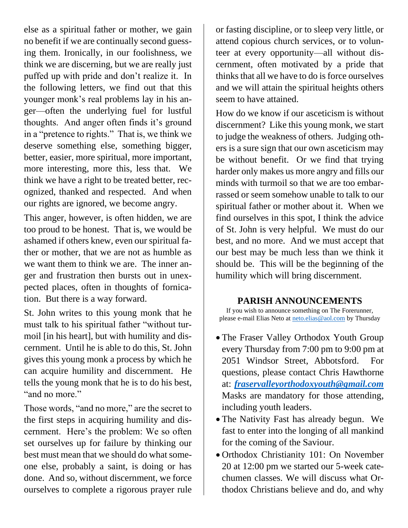else as a spiritual father or mother, we gain no benefit if we are continually second guessing them. Ironically, in our foolishness, we think we are discerning, but we are really just puffed up with pride and don't realize it. In the following letters, we find out that this younger monk's real problems lay in his anger—often the underlying fuel for lustful thoughts. And anger often finds it's ground in a "pretence to rights." That is, we think we deserve something else, something bigger, better, easier, more spiritual, more important, more interesting, more this, less that. We think we have a right to be treated better, recognized, thanked and respected. And when our rights are ignored, we become angry.

This anger, however, is often hidden, we are too proud to be honest. That is, we would be ashamed if others knew, even our spiritual father or mother, that we are not as humble as we want them to think we are. The inner anger and frustration then bursts out in unexpected places, often in thoughts of fornication. But there is a way forward.

St. John writes to this young monk that he must talk to his spiritual father "without turmoil [in his heart], but with humility and discernment. Until he is able to do this, St. John gives this young monk a process by which he can acquire humility and discernment. He tells the young monk that he is to do his best, "and no more."

Those words, "and no more," are the secret to the first steps in acquiring humility and discernment. Here's the problem: We so often set ourselves up for failure by thinking our best must mean that we should do what someone else, probably a saint, is doing or has done. And so, without discernment, we force ourselves to complete a rigorous prayer rule or fasting discipline, or to sleep very little, or attend copious church services, or to volunteer at every opportunity—all without discernment, often motivated by a pride that thinks that all we have to do is force ourselves and we will attain the spiritual heights others seem to have attained.

How do we know if our asceticism is without discernment? Like this young monk, we start to judge the weakness of others. Judging others is a sure sign that our own asceticism may be without benefit. Or we find that trying harder only makes us more angry and fills our minds with turmoil so that we are too embarrassed or seem somehow unable to talk to our spiritual father or mother about it. When we find ourselves in this spot, I think the advice of St. John is very helpful. We must do our best, and no more. And we must accept that our best may be much less than we think it should be. This will be the beginning of the humility which will bring discernment.

#### **PARISH ANNOUNCEMENTS**

If you wish to announce something on The Forerunner, please e-mail Elias Neto at [neto.elias@aol.com](mailto:neto.elias@aol.com) by Thursday

- The Fraser Valley Orthodox Youth Group every Thursday from 7:00 pm to 9:00 pm at 2051 Windsor Street, Abbotsford. For questions, please contact Chris Hawthorne at: *[fraservalleyorthodoxyouth@gmail.com](mailto:fraservalleyorthodoxyouth@gmail.com)* Masks are mandatory for those attending, including youth leaders.
- The Nativity Fast has already begun. We fast to enter into the longing of all mankind for the coming of the Saviour.
- Orthodox Christianity 101: On November 20 at 12:00 pm we started our 5-week catechumen classes. We will discuss what Orthodox Christians believe and do, and why